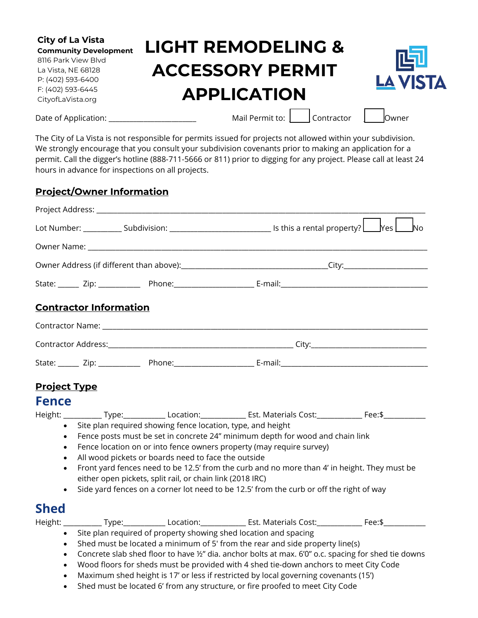| <b>City of La Vista</b><br><b>Community Development</b><br>8116 Park View Blvd | <b>LIGHT REMODELING &amp;</b> | 呞               |
|--------------------------------------------------------------------------------|-------------------------------|-----------------|
| La Vista, NE 68128<br>P: (402) 593-6400                                        | <b>ACCESSORY PERMIT</b>       | <b>LA VISTA</b> |
| F: (402) 593-6445<br>CityofLaVista.org                                         | <b>APPLICATION</b>            |                 |
| Date of Application:                                                           | Mail Permit to: Contractor    | lowner          |

The City of La Vista is not responsible for permits issued for projects not allowed within your subdivision. We strongly encourage that you consult your subdivision covenants prior to making an application for a permit. Call the digger's hotline (888-711-5666 or 811) prior to digging for any project. Please call at least 24 hours in advance for inspections on all projects.

### **Project/Owner Information**

|                                                                                                                                                                                                                                                                                                                                                                                                                                                                                                                                                                                                                   |                               |  | Lot Number: _____________ Subdivision: __________________________________ Is this a rental property? Letture                                                                                                                                                                                                                                      | $Yes$ $\Box$<br><b>No</b> |
|-------------------------------------------------------------------------------------------------------------------------------------------------------------------------------------------------------------------------------------------------------------------------------------------------------------------------------------------------------------------------------------------------------------------------------------------------------------------------------------------------------------------------------------------------------------------------------------------------------------------|-------------------------------|--|---------------------------------------------------------------------------------------------------------------------------------------------------------------------------------------------------------------------------------------------------------------------------------------------------------------------------------------------------|---------------------------|
|                                                                                                                                                                                                                                                                                                                                                                                                                                                                                                                                                                                                                   |                               |  |                                                                                                                                                                                                                                                                                                                                                   |                           |
|                                                                                                                                                                                                                                                                                                                                                                                                                                                                                                                                                                                                                   |                               |  |                                                                                                                                                                                                                                                                                                                                                   |                           |
|                                                                                                                                                                                                                                                                                                                                                                                                                                                                                                                                                                                                                   |                               |  |                                                                                                                                                                                                                                                                                                                                                   |                           |
|                                                                                                                                                                                                                                                                                                                                                                                                                                                                                                                                                                                                                   | <b>Contractor Information</b> |  |                                                                                                                                                                                                                                                                                                                                                   |                           |
|                                                                                                                                                                                                                                                                                                                                                                                                                                                                                                                                                                                                                   |                               |  |                                                                                                                                                                                                                                                                                                                                                   |                           |
|                                                                                                                                                                                                                                                                                                                                                                                                                                                                                                                                                                                                                   |                               |  |                                                                                                                                                                                                                                                                                                                                                   |                           |
|                                                                                                                                                                                                                                                                                                                                                                                                                                                                                                                                                                                                                   |                               |  | State: _____ Zip: ___________ Phone: _____________________ E-mail: _________________________________                                                                                                                                                                                                                                              |                           |
| <b>Project Type</b><br><b>Fence</b>                                                                                                                                                                                                                                                                                                                                                                                                                                                                                                                                                                               |                               |  |                                                                                                                                                                                                                                                                                                                                                   |                           |
|                                                                                                                                                                                                                                                                                                                                                                                                                                                                                                                                                                                                                   |                               |  | Height: _____________Type:_______________Location:_______________Est. Materials Cost:_______________Fee:\$________                                                                                                                                                                                                                                |                           |
| Site plan required showing fence location, type, and height<br>$\bullet$<br>Fence posts must be set in concrete 24" minimum depth for wood and chain link<br>$\bullet$<br>Fence location on or into fence owners property (may require survey)<br>$\bullet$<br>All wood pickets or boards need to face the outside<br>$\bullet$<br>Front yard fences need to be 12.5' from the curb and no more than 4' in height. They must be<br>$\bullet$<br>either open pickets, split rail, or chain link (2018 IRC)<br>Side yard fences on a corner lot need to be 12.5' from the curb or off the right of way<br>$\bullet$ |                               |  |                                                                                                                                                                                                                                                                                                                                                   |                           |
| <b>Shed</b>                                                                                                                                                                                                                                                                                                                                                                                                                                                                                                                                                                                                       |                               |  |                                                                                                                                                                                                                                                                                                                                                   |                           |
|                                                                                                                                                                                                                                                                                                                                                                                                                                                                                                                                                                                                                   |                               |  | Height: _____________ Type:________________ Location: _______________ Est. Materials Cost: ______________ Fee:\$____________                                                                                                                                                                                                                      |                           |
| $\bullet$<br>$\bullet$                                                                                                                                                                                                                                                                                                                                                                                                                                                                                                                                                                                            |                               |  | Site plan required of property showing shed location and spacing<br>Shed must be located a minimum of 5' from the rear and side property line(s)<br>Concrete slab shed floor to have 1/2" dia. anchor bolts at max. 6'0" o.c. spacing for shed tie downs<br>Wood floors for sheds must be provided with 4 shed tie-down anchors to meet City Code |                           |

- Maximum shed height is 17' or less if restricted by local governing covenants (15')
- Shed must be located 6' from any structure, or fire proofed to meet City Code